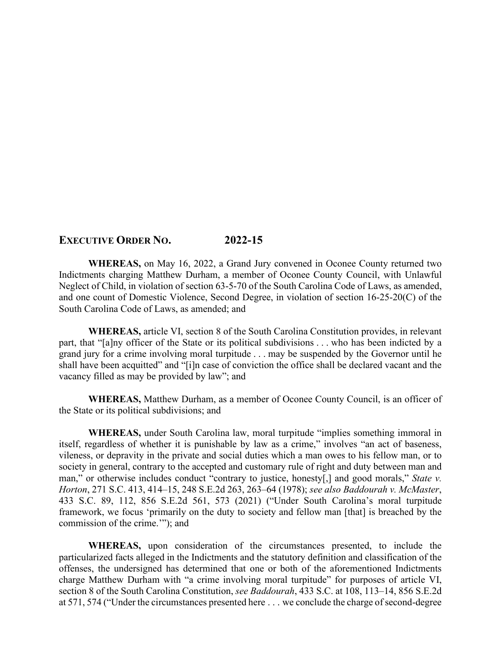## **EXECUTIVE ORDER NO. 2022-15**

**WHEREAS,** on May 16, 2022, a Grand Jury convened in Oconee County returned two Indictments charging Matthew Durham, a member of Oconee County Council, with Unlawful Neglect of Child, in violation of section 63-5-70 of the South Carolina Code of Laws, as amended, and one count of Domestic Violence, Second Degree, in violation of section 16-25-20(C) of the South Carolina Code of Laws, as amended; and

**WHEREAS,** article VI, section 8 of the South Carolina Constitution provides, in relevant part, that "[a]ny officer of the State or its political subdivisions . . . who has been indicted by a grand jury for a crime involving moral turpitude . . . may be suspended by the Governor until he shall have been acquitted" and "[i]n case of conviction the office shall be declared vacant and the vacancy filled as may be provided by law"; and

**WHEREAS,** Matthew Durham, as a member of Oconee County Council, is an officer of the State or its political subdivisions; and

**WHEREAS,** under South Carolina law, moral turpitude "implies something immoral in itself, regardless of whether it is punishable by law as a crime," involves "an act of baseness, vileness, or depravity in the private and social duties which a man owes to his fellow man, or to society in general, contrary to the accepted and customary rule of right and duty between man and man," or otherwise includes conduct "contrary to justice, honesty[,] and good morals," *State v. Horton*, 271 S.C. 413, 414–15, 248 S.E.2d 263, 263–64 (1978); *see also Baddourah v. McMaster*, 433 S.C. 89, 112, 856 S.E.2d 561, 573 (2021) ("Under South Carolina's moral turpitude framework, we focus 'primarily on the duty to society and fellow man [that] is breached by the commission of the crime.'"); and

**WHEREAS,** upon consideration of the circumstances presented, to include the particularized facts alleged in the Indictments and the statutory definition and classification of the offenses, the undersigned has determined that one or both of the aforementioned Indictments charge Matthew Durham with "a crime involving moral turpitude" for purposes of article VI, section 8 of the South Carolina Constitution, *see Baddourah*, 433 S.C. at 108, 113–14, 856 S.E.2d at 571, 574 ("Under the circumstances presented here . . . we conclude the charge of second-degree